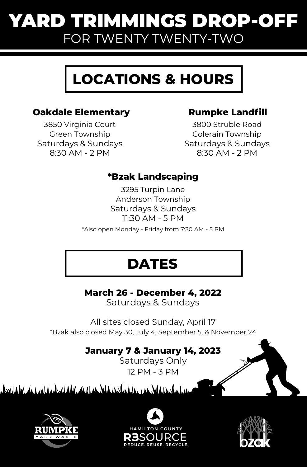## YARD TRIMMINGS DROP-OFF FOR TWENTY TWENTY-TWO

# **LOCATIONS & HOURS**

#### **Oakdale Elementary**

3850 Virginia Court Green Township Saturdays & Sundays 8:30 AM - 2 PM

#### **Rumpke Landfill**

3800 Struble Road Colerain Township Saturdays & Sundays 8:30 AM - 2 PM

#### **\*Bzak Landscaping**

3295 Turpin Lane Anderson Township Saturdays & Sundays 11:30 AM - 5 PM

\*Also open Monday - Friday from 7:30 AM - 5 PM

## **DATES**

**March 26 - December 4, 2022**

Saturdays & Sundays

All sites closed Sunday, April 17 \*Bzak also closed May 30, July 4, September 5, & November 24

### **January 7 & January 14, 2023**

Saturdays Only 12 PM - 3 PM

daana ka xaabada dadka waxaa dhaabadaha xaabada dadana